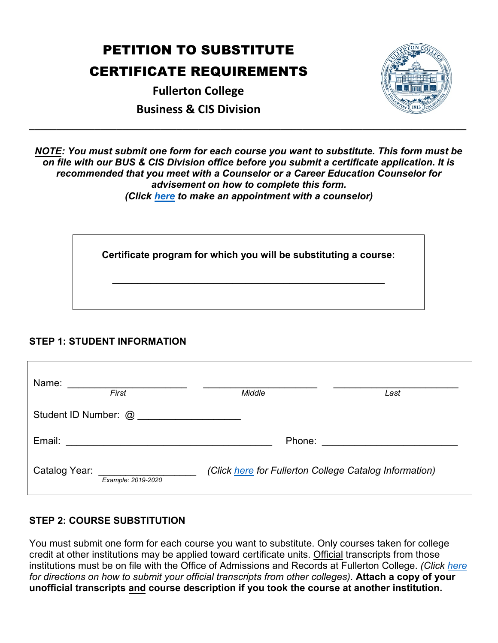# PETITION TO SUBSTITUTE CERTIFICATE REQUIREMENTS

**Fullerton College Business & CIS Division** 



*NOTE: You must submit one form for each course you want to substitute. This form must be on file with our BUS & CIS Division office before you submit a certificate application. It is recommended that you meet with a Counselor or a Career Education Counselor for advisement on how to complete this form. (Click [here](https://vpss.fullcoll.edu/counseling-remote/) to make an appointment with a counselor)*

**\_\_\_\_\_\_\_\_\_\_\_\_\_\_\_\_\_\_\_\_\_\_\_\_\_\_\_\_\_\_\_\_\_\_\_\_\_\_\_\_\_\_\_\_\_\_\_\_\_\_\_\_\_\_\_\_\_\_\_\_\_\_\_\_\_\_\_\_\_\_\_\_\_\_\_\_\_\_\_\_** 

**Certificate program for which you will be substituting a course:**

\_\_\_\_\_\_\_\_\_\_\_\_\_\_\_\_\_\_\_\_\_\_\_\_\_\_\_\_\_\_\_\_\_\_\_\_\_\_\_\_\_\_\_

### **STEP 1: STUDENT INFORMATION**

| Name:<br>First                      | Middle                                                 | Last |
|-------------------------------------|--------------------------------------------------------|------|
| Student ID Number: @                |                                                        |      |
| Email:                              | Phone:                                                 |      |
| Catalog Year:<br>Example: 2019-2020 | (Click here for Fullerton College Catalog Information) |      |

## **STEP 2: COURSE SUBSTITUTION**

You must submit one form for each course you want to substitute. Only courses taken for college credit at other institutions may be applied toward certificate units. Official transcripts from those institutions must be on file with the Office of Admissions and Records at Fullerton College. *(Click [here](https://vpss.fullcoll.edu/ar-remote-services/) for directions on how to submit your official transcripts from other colleges)*. **Attach a copy of your unofficial transcripts and course description if you took the course at another institution.**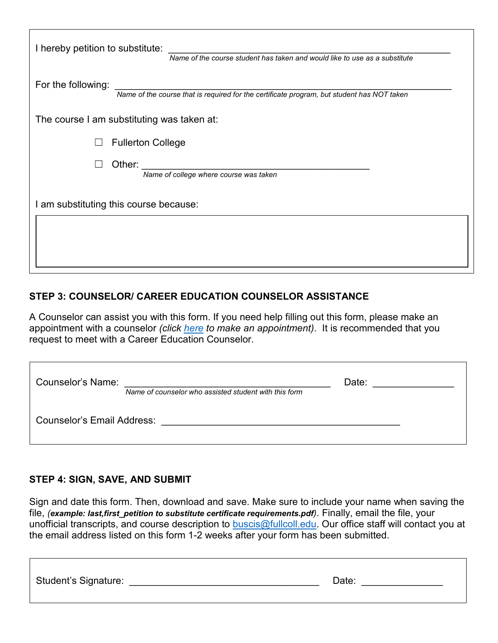| I hereby petition to substitute:<br>Name of the course student has taken and would like to use as a substitute   |
|------------------------------------------------------------------------------------------------------------------|
| For the following:<br>Name of the course that is required for the certificate program, but student has NOT taken |
| The course I am substituting was taken at:                                                                       |
| <b>Fullerton College</b>                                                                                         |
| Other:<br>Name of college where course was taken                                                                 |
| I am substituting this course because:                                                                           |
|                                                                                                                  |
|                                                                                                                  |

### **STEP 3: COUNSELOR/ CAREER EDUCATION COUNSELOR ASSISTANCE**

A Counselor can assist you with this form. If you need help filling out this form, please make an appointment with a counselor *(click [here](https://vpss.fullcoll.edu/counseling-remote/) to make an appointment)*. It is recommended that you request to meet with a Career Education Counselor.

| Counselor's Name:                 | Name of counselor who assisted student with this form | Date: |  |
|-----------------------------------|-------------------------------------------------------|-------|--|
| <b>Counselor's Email Address:</b> |                                                       |       |  |

### **STEP 4: SIGN, SAVE, AND SUBMIT**

Sign and date this form. Then, download and save. Make sure to include your name when saving the file, *(example: last,first\_petition to substitute certificate requirements.pdf)*. Finally, email the file, your unofficial transcripts, and course description to buscis@fullcoll.edu. Our office staff will contact you at the email address listed on this form 1-2 weeks after your form has been submitted.

| <b>Student's Signature:</b> | ่ วลte: |
|-----------------------------|---------|
|                             |         |